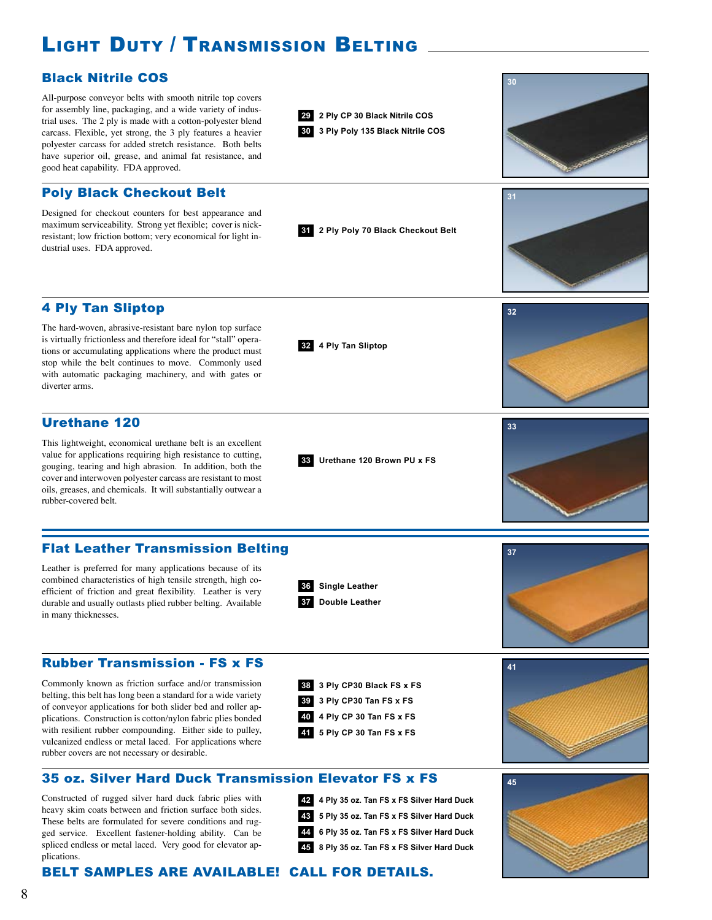# Light Duty / Transmission Belting

### Black Nitrile COS

All-purpose conveyor belts with smooth nitrile top covers for assembly line, packaging, and a wide variety of industrial uses. The 2 ply is made with a cotton-polyester blend carcass. Flexible, yet strong, the 3 ply features a heavier polyester carcass for added stretch resistance. Both belts have superior oil, grease, and animal fat resistance, and good heat capability. FDA approved.

### Poly Black Checkout Belt

Designed for checkout counters for best appearance and maximum serviceability. Strong yet flexible; cover is nickresistant; low friction bottom; very economical for light industrial uses. FDA approved.

## 4 Ply Tan Sliptop

The hard-woven, abrasive-resistant bare nylon top surface is virtually frictionless and therefore ideal for "stall" operations or accumulating applications where the product must stop while the belt continues to move. Commonly used with automatic packaging machinery, and with gates or diverter arms.

#### Urethane 120

This lightweight, economical urethane belt is an excellent value for applications requiring high resistance to cutting, gouging, tearing and high abrasion. In addition, both the cover and interwoven polyester carcass are resistant to most oils, greases, and chemicals. It will substantially outwear a rubber-covered belt.

#### Flat Leather Transmission Belting

Leather is preferred for many applications because of its combined characteristics of high tensile strength, high coefficient of friction and great flexibility. Leather is very durable and usually outlasts plied rubber belting. Available in many thicknesses.



**32 4 Ply Tan Sliptop**

**33 Urethane 120 Brown PU x FS**

**2 Ply CP 30 Black Nitrile COS 29 3 Ply Poly 135 Black Nitrile COS 30** **30**

**31**

**32**

**33**

**31 2 Ply Poly 70 Black Checkout Belt**

# **37**

#### Rubber Transmission - FS x FS

Commonly known as friction surface and/or transmission belting, this belt has long been a standard for a wide variety of conveyor applications for both slider bed and roller applications. Construction is cotton/nylon fabric plies bonded with resilient rubber compounding. Either side to pulley, vulcanized endless or metal laced. For applications where rubber covers are not necessary or desirable.



- **3 Ply CP30 Tan FS x FS 39**
- **4 Ply CP 30 Tan FS x FS 40**
- **5 Ply CP 30 Tan FS x FS 41**





Constructed of rugged silver hard duck fabric plies with heavy skim coats between and friction surface both sides. These belts are formulated for severe conditions and rugged service. Excellent fastener-holding ability. Can be spliced endless or metal laced. Very good for elevator applications.

**4 Ply 35 oz. Tan FS x FS Silver Hard Duck 42 5 Ply 35 oz. Tan FS x FS Silver Hard Duck 43 6 Ply 35 oz. Tan FS x FS Silver Hard Duck 44 8 Ply 35 oz. Tan FS x FS Silver Hard Duck 45**



## BELT SAMPLES ARE AVAILABLE! CALL FOR DETAILS.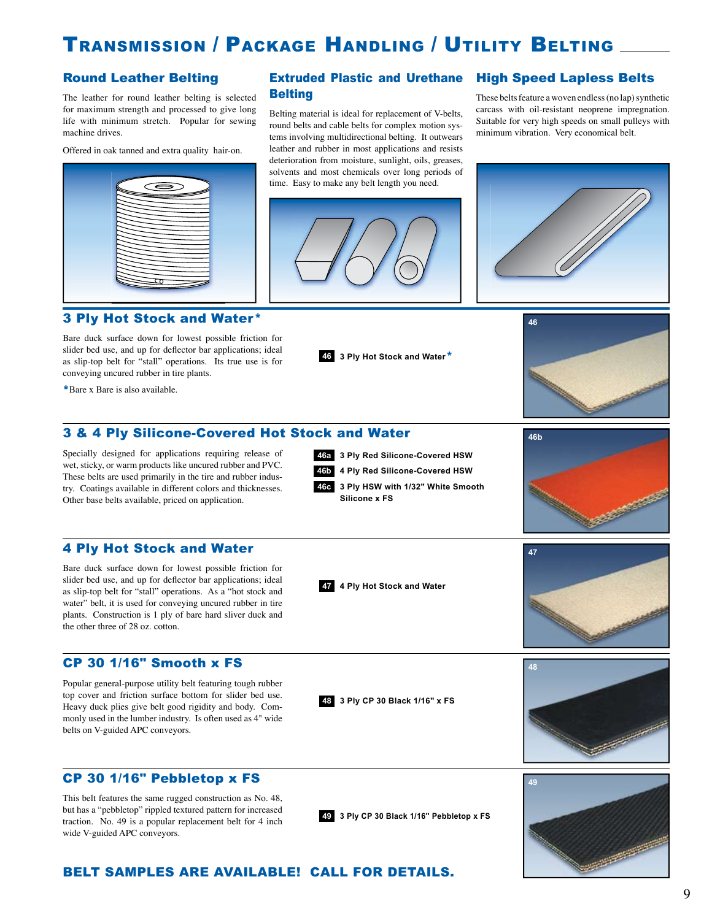# TRANSMISSION / PACKAGE HANDLING / UTILITY BELTING

The leather for round leather belting is selected for maximum strength and processed to give long life with minimum stretch. Popular for sewing machine drives.

Offered in oak tanned and extra quality hair-on.



#### 3 Ply Hot Stock and Water\*

Bare duck surface down for lowest possible friction for slider bed use, and up for deflector bar applications; ideal as slip-top belt for "stall" operations. Its true use is for conveying uncured rubber in tire plants.

\*Bare x Bare is also available.

#### Round Leather Belting **Extruded Plastic and Urethane** High Speed Lapless Belts **Belting**

Belting material is ideal for replacement of V-belts, round belts and cable belts for complex motion systems involving multidirectional belting. It outwears leather and rubber in most applications and resists deterioration from moisture, sunlight, oils, greases, solvents and most chemicals over long periods of time. Easy to make any belt length you need.



These belts feature a woven endless (no lap) synthetic carcass with oil-resistant neoprene impregnation. Suitable for very high speeds on small pulleys with minimum vibration. Very economical belt.





#### 3 & 4 Ply Silicone-Covered Hot Stock and Water

Specially designed for applications requiring release of wet, sticky, or warm products like uncured rubber and PVC. These belts are used primarily in the tire and rubber industry. Coatings available in different colors and thicknesses. Other base belts available, priced on application.

**3 Ply Red Silicone-Covered HSW**

**4 Ply Red Silicone-Covered HSW**

**<sup>46</sup> 3 Ply Hot Stock and Water**\*

**3 Ply HSW with 1/32" White Smooth 46c Silicone x FS**



**47**

#### 4 Ply Hot Stock and Water

Bare duck surface down for lowest possible friction for slider bed use, and up for deflector bar applications; ideal as slip-top belt for "stall" operations. As a "hot stock and water" belt, it is used for conveying uncured rubber in tire plants. Construction is 1 ply of bare hard sliver duck and the other three of 28 oz. cotton.

#### CP 30 1/16" Smooth x FS

Popular general-purpose utility belt featuring tough rubber top cover and friction surface bottom for slider bed use. Heavy duck plies give belt good rigidity and body. Commonly used in the lumber industry. Is often used as 4" wide belts on V-guided APC conveyors.



**47 4 Ply Hot Stock and Water**



#### CP 30 1/16" Pebbletop x FS

This belt features the same rugged construction as No. 48, but has a "pebbletop" rippled textured pattern for increased traction. No. 49 is a popular replacement belt for 4 inch wide V-guided APC conveyors.

**49 3 Ply CP 30 Black 1/16" Pebbletop x FS**



#### BELT SAMPLES ARE AVAILABLE! CALL FOR DETAILS.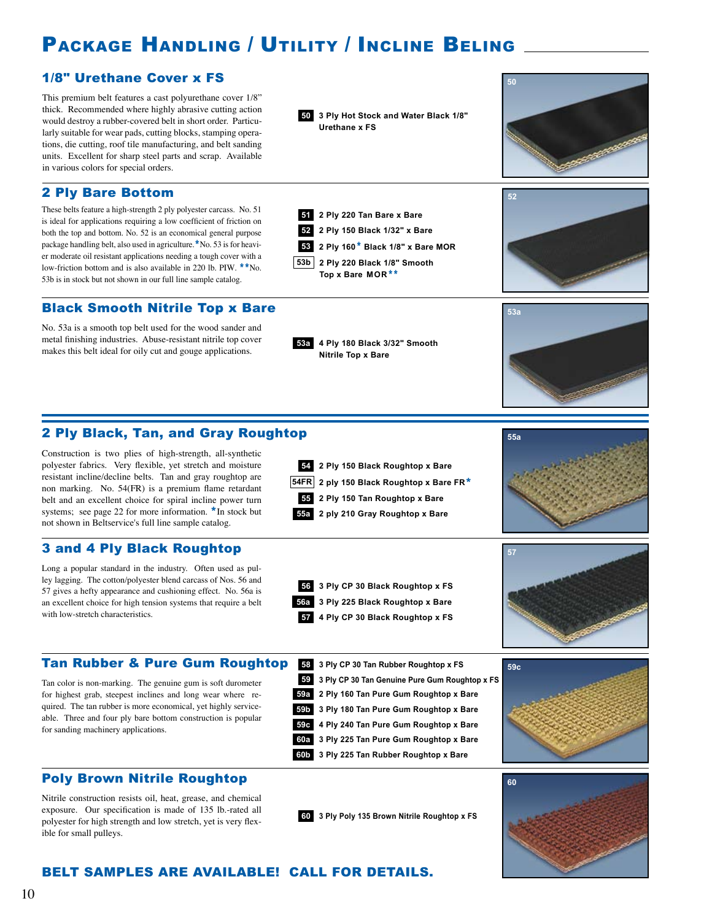# PACKAGE HANDLING / UTILITY / INCLINE BELING

#### 1/8" Urethane Cover x FS

This premium belt features a cast polyurethane cover 1/8" thick. Recommended where highly abrasive cutting action would destroy a rubber-covered belt in short order. Particularly suitable for wear pads, cutting blocks, stamping operations, die cutting, roof tile manufacturing, and belt sanding units. Excellent for sharp steel parts and scrap. Available in various colors for special orders.

#### 2 Ply Bare Bottom

These belts feature a high-strength 2 ply polyester carcass. No. 51 is ideal for applications requiring a low coefficient of friction on both the top and bottom. No. 52 is an economical general purpose package handling belt, also used in agriculture.\*No. 53 is for heavier moderate oil resistant applications needing a tough cover with a low-friction bottom and is also available in 220 lb. PIW. \*\*No. 53b is in stock but not shown in our full line sample catalog.

#### Black Smooth Nitrile Top x Bare

No. 53a is a smooth top belt used for the wood sander and metal finishing industries. Abuse-resistant nitrile top cover metal finishing industries. Abuse-resistant nitrile top cover<br>makes this belt ideal for oily cut and gouge applications.<br>**53a Ally 180 Black 3/32" Smooth** 

2 Ply Black, Tan, and Gray Roughtop

Construction is two plies of high-strength, all-synthetic polyester fabrics. Very flexible, yet stretch and moisture resistant incline/decline belts. Tan and gray roughtop are non marking. No. 54(FR) is a premium flame retardant belt and an excellent choice for spiral incline power turn systems; see page 22 for more information. \* In stock but not shown in Beltservice's full line sample catalog.

#### 3 and 4 Ply Black Roughtop

Long a popular standard in the industry. Often used as pulley lagging. The cotton/polyester blend carcass of Nos. 56 and 57 gives a hefty appearance and cushioning effect. No. 56a is an excellent choice for high tension systems that require a belt with low-stretch characteristics.



Tan color is non-marking. The genuine gum is soft durometer for highest grab, steepest inclines and long wear where required. The tan rubber is more economical, yet highly serviceable. Three and four ply bare bottom construction is popular for sanding machinery applications.

#### Poly Brown Nitrile Roughtop

Nitrile construction resists oil, heat, grease, and chemical exposure. Our specification is made of 135 lb.-rated all polyester for high strength and low stretch, yet is very flexible for small pulleys.



**2 ply 210 Gray Roughtop x Bare 55a**

**Nitrile Top x Bare**

**2 Ply 220 Tan Bare x Bare 51 2 Ply 150 Black 1/32" x Bare 52 53 2 Ply 160**\* **Black 1/8" x Bare MOR**

**53b 2 Ply 220 Black 1/8" Smooth Top x Bare MOR**\*\*





**58 3 Ply CP 30 Tan Rubber Roughtop x FS 59 3 Ply CP 30 Tan Genuine Pure Gum Roughtop x FS 59a 2 Ply 160 Tan Pure Gum Roughtop x Bare 59b 3 Ply 180 Tan Pure Gum Roughtop x Bare 59c 4 Ply 240 Tan Pure Gum Roughtop x Bare 59c 60a 3 Ply 225 Tan Pure Gum Roughtop x Bare 60b 3 Ply 225 Tan Rubber Roughtop x Bare**

**60**

#### **60 3 Ply Poly 135 Brown Nitrile Roughtop x FS**

#### BELT SAMPLES ARE AVAILABLE! CALL FOR DETAILS.

**50 3 Ply Hot Stock and Water Black 1/8" Urethane x FS**







**55a**